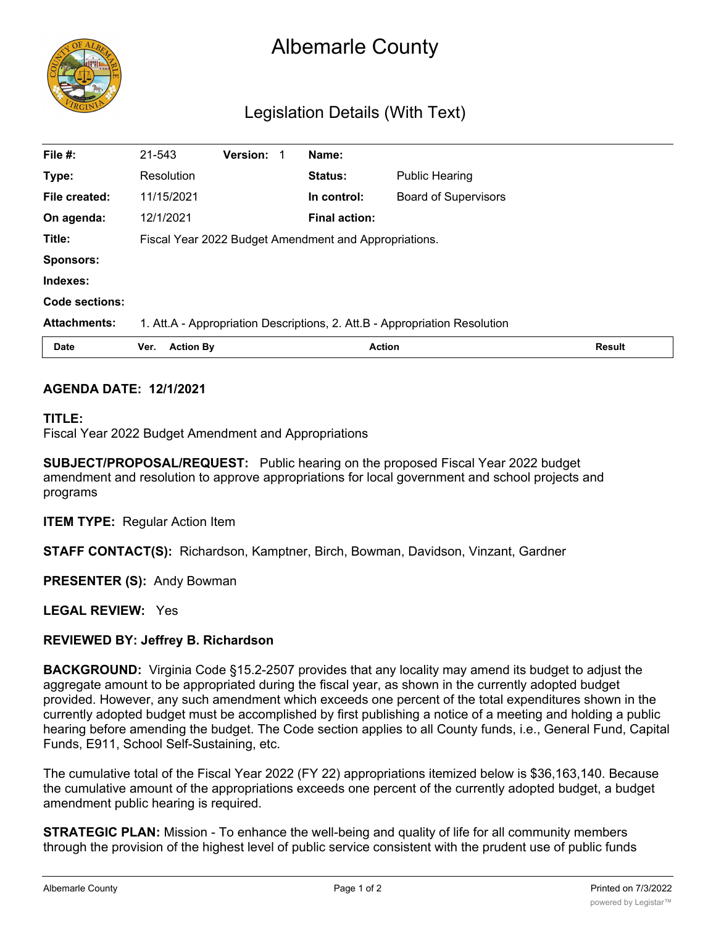

# Albemarle County

## Legislation Details (With Text)

| File #:             | 21-543                                                                     | Version: |  | Name:                |                             |               |
|---------------------|----------------------------------------------------------------------------|----------|--|----------------------|-----------------------------|---------------|
| Type:               | Resolution                                                                 |          |  | <b>Status:</b>       | <b>Public Hearing</b>       |               |
| File created:       | 11/15/2021                                                                 |          |  | In control:          | <b>Board of Supervisors</b> |               |
| On agenda:          | 12/1/2021                                                                  |          |  | <b>Final action:</b> |                             |               |
| Title:              | Fiscal Year 2022 Budget Amendment and Appropriations.                      |          |  |                      |                             |               |
| <b>Sponsors:</b>    |                                                                            |          |  |                      |                             |               |
| Indexes:            |                                                                            |          |  |                      |                             |               |
| Code sections:      |                                                                            |          |  |                      |                             |               |
| <b>Attachments:</b> | 1. Att.A - Appropriation Descriptions, 2. Att.B - Appropriation Resolution |          |  |                      |                             |               |
| <b>Date</b>         | <b>Action By</b><br>Ver.                                                   |          |  | <b>Action</b>        |                             | <b>Result</b> |

#### **AGENDA DATE: 12/1/2021**

#### **TITLE:**

Fiscal Year 2022 Budget Amendment and Appropriations

**SUBJECT/PROPOSAL/REQUEST:** Public hearing on the proposed Fiscal Year 2022 budget amendment and resolution to approve appropriations for local government and school projects and programs

**ITEM TYPE:** Regular Action Item

**STAFF CONTACT(S):** Richardson, Kamptner, Birch, Bowman, Davidson, Vinzant, Gardner

**PRESENTER (S):** Andy Bowman

**LEGAL REVIEW:** Yes

#### **REVIEWED BY: Jeffrey B. Richardson**

**BACKGROUND:** Virginia Code §15.2-2507 provides that any locality may amend its budget to adjust the aggregate amount to be appropriated during the fiscal year, as shown in the currently adopted budget provided. However, any such amendment which exceeds one percent of the total expenditures shown in the currently adopted budget must be accomplished by first publishing a notice of a meeting and holding a public hearing before amending the budget. The Code section applies to all County funds, i.e., General Fund, Capital Funds, E911, School Self-Sustaining, etc.

The cumulative total of the Fiscal Year 2022 (FY 22) appropriations itemized below is \$36,163,140. Because the cumulative amount of the appropriations exceeds one percent of the currently adopted budget, a budget amendment public hearing is required.

**STRATEGIC PLAN:** Mission - To enhance the well-being and quality of life for all community members through the provision of the highest level of public service consistent with the prudent use of public funds